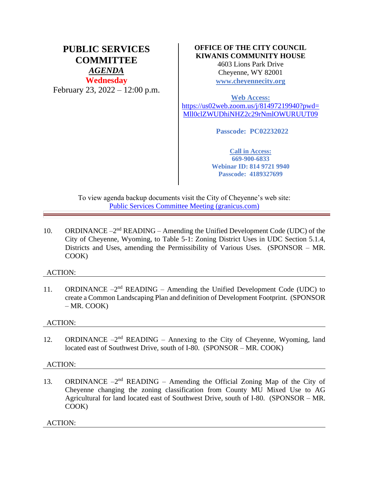# **PUBLIC SERVICES COMMITTEE** *AGENDA* **Wednesday** February 23, 2022 – 12:00 p.m.

## **OFFICE OF THE CITY COUNCIL KIWANIS COMMUNITY HOUSE**

4603 Lions Park Drive Cheyenne, WY 82001 **[www.cheyennecity.org](http://www.cheyennecity.org/)**

**Web Access:** 

[https://us02web.zoom.us/j/81497219940?pwd=](https://us02web.zoom.us/j/81497219940?pwd=Mll0clZWUDhiNHZ2c29rNmlOWURUUT09) [Mll0clZWUDhiNHZ2c29rNmlOWURUUT09](https://us02web.zoom.us/j/81497219940?pwd=Mll0clZWUDhiNHZ2c29rNmlOWURUUT09)

**Passcode: PC02232022**

**Call in Access: 669-900-6833 Webinar ID: 814 9721 9940 Passcode: 4189327699**

To view agenda backup documents visit the City of Cheyenne's web site: [Public Services Committee Meeting \(granicus.com\)](https://cheyenne.granicus.com/GeneratedAgendaViewer.php?event_id=1050)

10. ORDINANCE  $-2<sup>nd</sup>$  READING – Amending the Unified Development Code (UDC) of the City of Cheyenne, Wyoming, to Table 5-1: Zoning District Uses in UDC Section 5.1.4, Districts and Uses, amending the Permissibility of Various Uses. (SPONSOR – MR. COOK)

## ACTION:

11. ORDINANCE  $-2<sup>nd</sup>$  READING – Amending the Unified Development Code (UDC) to create a Common Landscaping Plan and definition of Development Footprint. (SPONSOR  $-MR$ . COOK)

#### ACTION:

12. ORDINANCE  $-2<sup>nd</sup>$  READING – Annexing to the City of Cheyenne, Wyoming, land located east of Southwest Drive, south of I-80. (SPONSOR – MR. COOK)

#### ACTION:

13. ORDINANCE  $-2<sup>nd</sup>$  READING – Amending the Official Zoning Map of the City of Cheyenne changing the zoning classification from County MU Mixed Use to AG Agricultural for land located east of Southwest Drive, south of I-80. (SPONSOR – MR. COOK)

ACTION: